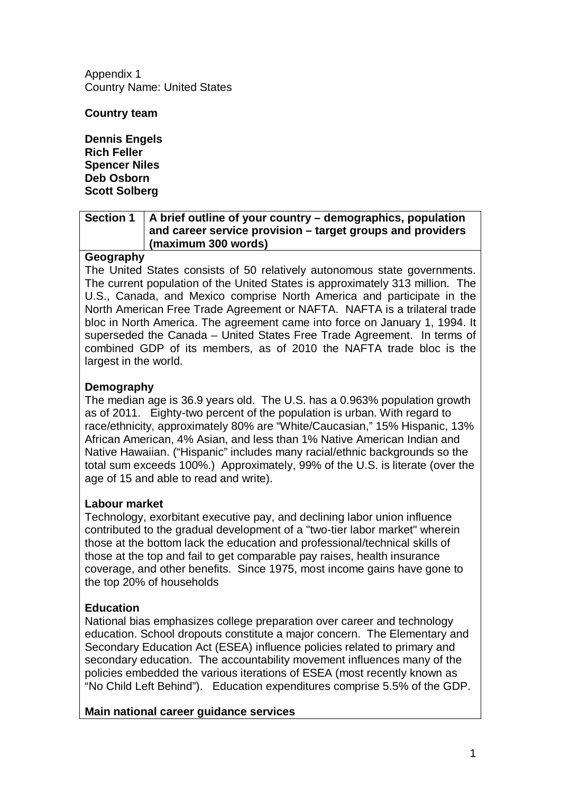Appendix 1 Country Name: United States

**Country team**

**Dennis Engels Rich Feller Spencer Niles Deb Osborn Scott Solberg**

#### **Section 1 A brief outline of your country – demographics, population and career service provision – target groups and providers (maximum 300 words)**

#### **Geography**

The United States consists of 50 relatively autonomous state governments. The current population of the United States is approximately 313 million. The U.S., Canada, and Mexico comprise North America and participate in the North American Free Trade Agreement or NAFTA. NAFTA is a trilateral [trade](http://en.wikipedia.org/wiki/Trade_bloc)  [bloc](http://en.wikipedia.org/wiki/Trade_bloc) in North America. The agreement came into force on January 1, 1994. It superseded the Canada – [United States Free Trade Agreement.](http://en.wikipedia.org/wiki/Canada_%E2%80%93_United_States_Free_Trade_Agreement) In terms of combined [GDP](http://en.wikipedia.org/wiki/GDP) of its members, as of 2010 the NAFTA trade bloc is the [largest in the world.](http://en.wikipedia.org/wiki/Trade_bloc#Most_active_regional_blocs)

#### **Demography**

The median age is 36.9 years old. The U.S. has a 0.963% population growth as of 2011. Eighty-two percent of the population is urban. With regard to race/ethnicity, approximately 80% are "White/Caucasian," 15% Hispanic, 13% African American, 4% Asian, and less than 1% Native American Indian and Native Hawaiian. ("Hispanic" includes many racial/ethnic backgrounds so the total sum exceeds 100%.) Approximately, 99% of the U.S. is literate (over the age of 15 and able to read and write).

#### **Labour market**

Technology, exorbitant executive pay, and declining labor union influence contributed to the gradual development of a "two-tier labor market" wherein those at the bottom lack the education and professional/technical skills of those at the top and fail to get comparable pay raises, health insurance coverage, and other benefits. Since 1975, most income gains have gone to the top 20% of households

### **Education**

National bias emphasizes college preparation over career and technology education. School dropouts constitute a major concern. The Elementary and Secondary Education Act (ESEA) influence policies related to primary and secondary education. The accountability movement influences many of the policies embedded the various iterations of ESEA (most recently known as "No Child Left Behind"). Education expenditures comprise 5.5% of the GDP.

**Main national career guidance services**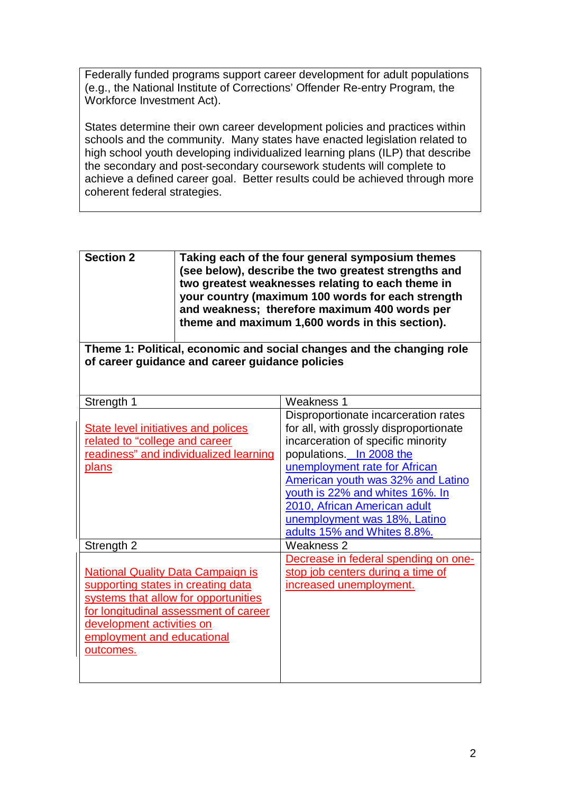Federally funded programs support career development for adult populations (e.g., the National Institute of Corrections' Offender Re-entry Program, the Workforce Investment Act).

States determine their own career development policies and practices within schools and the community. Many states have enacted legislation related to high school youth developing individualized learning plans (ILP) that describe the secondary and post-secondary coursework students will complete to achieve a defined career goal. Better results could be achieved through more coherent federal strategies.

| <b>Section 2</b> | Taking each of the four general symposium themes<br>(see below), describe the two greatest strengths and<br>two greatest weaknesses relating to each theme in<br>your country (maximum 100 words for each strength<br>and weakness; therefore maximum 400 words per<br>theme and maximum 1,600 words in this section). |
|------------------|------------------------------------------------------------------------------------------------------------------------------------------------------------------------------------------------------------------------------------------------------------------------------------------------------------------------|
|                  |                                                                                                                                                                                                                                                                                                                        |

**Theme 1: Political, economic and social changes and the changing role of career guidance and career guidance policies**

| Strength 1                               | Weakness 1                             |
|------------------------------------------|----------------------------------------|
|                                          | Disproportionate incarceration rates   |
| State level initiatives and polices      | for all, with grossly disproportionate |
| related to "college and career           | incarceration of specific minority     |
| readiness" and individualized learning   | populations. In 2008 the               |
| <u>plans</u>                             | unemployment rate for African          |
|                                          | American youth was 32% and Latino      |
|                                          | youth is 22% and whites 16%. In        |
|                                          | 2010, African American adult           |
|                                          | unemployment was 18%, Latino           |
|                                          | adults 15% and Whites 8.8%.            |
| Strength 2                               | Weakness 2                             |
|                                          | Decrease in federal spending on one-   |
| <b>National Quality Data Campaign is</b> | stop job centers during a time of      |
| supporting states in creating data       | increased unemployment.                |
| systems that allow for opportunities     |                                        |
| for longitudinal assessment of career    |                                        |
| development activities on                |                                        |
| employment and educational               |                                        |
|                                          |                                        |
| outcomes.                                |                                        |
|                                          |                                        |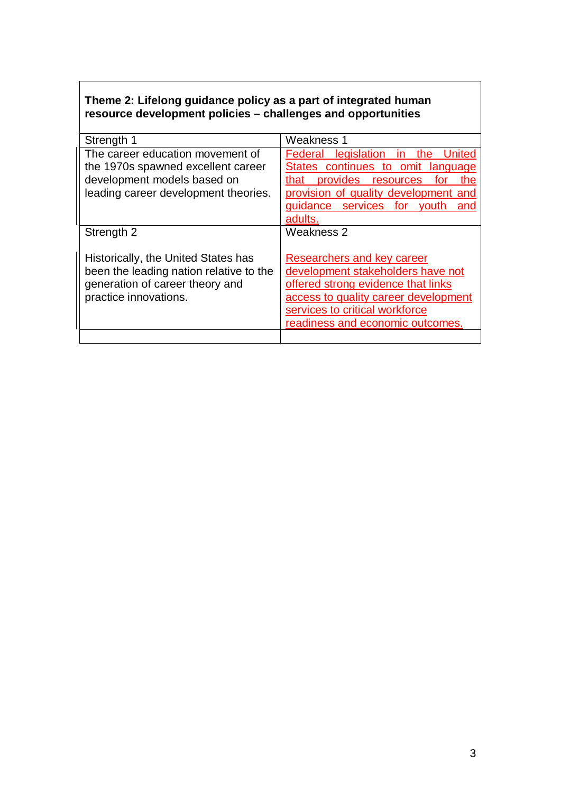## **Theme 2: Lifelong guidance policy as a part of integrated human resource development policies – challenges and opportunities**

| Strength 1                                                                                                                                    | Weakness 1                                                                                                                                                                                                          |
|-----------------------------------------------------------------------------------------------------------------------------------------------|---------------------------------------------------------------------------------------------------------------------------------------------------------------------------------------------------------------------|
| The career education movement of<br>the 1970s spawned excellent career<br>development models based on<br>leading career development theories. | Federal legislation in the<br>United<br>States continues to omit language<br>that provides resources<br>the<br>for<br>provision of quality development and<br>guidance services for youth<br>and<br>adults.         |
| Strength 2                                                                                                                                    | Weakness 2                                                                                                                                                                                                          |
| Historically, the United States has<br>been the leading nation relative to the<br>generation of career theory and<br>practice innovations.    | Researchers and key career<br>development stakeholders have not<br>offered strong evidence that links<br>access to quality career development<br>services to critical workforce<br>readiness and economic outcomes. |
|                                                                                                                                               |                                                                                                                                                                                                                     |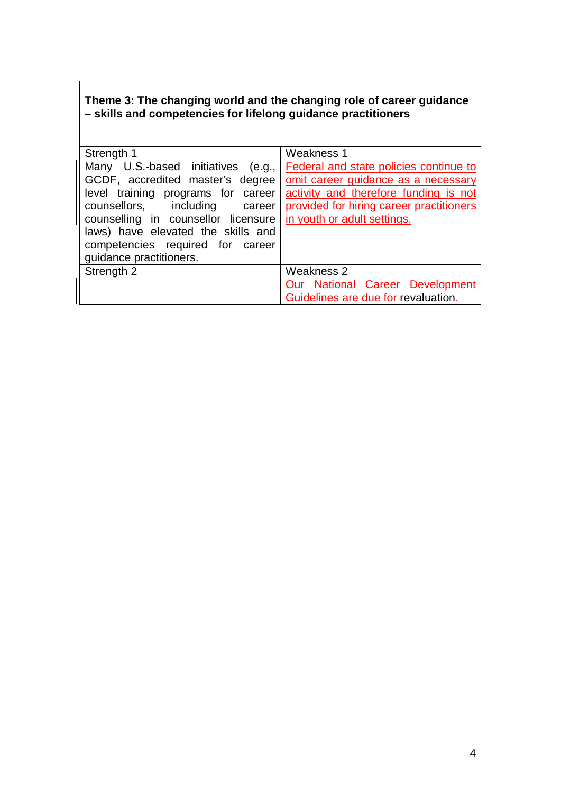## **Theme 3: The changing world and the changing role of career guidance – skills and competencies for lifelong guidance practitioners**

| Strength 1                                                                                                                                                                                                                                                                                | <b>Weakness 1</b>                                                                                                                                                                                 |
|-------------------------------------------------------------------------------------------------------------------------------------------------------------------------------------------------------------------------------------------------------------------------------------------|---------------------------------------------------------------------------------------------------------------------------------------------------------------------------------------------------|
| Many U.S.-based initiatives (e.g.,<br>GCDF, accredited master's degree<br>level training programs for career<br>counsellors, including career<br>counselling in counsellor licensure<br>laws) have elevated the skills and<br>competencies required for career<br>guidance practitioners. | Federal and state policies continue to<br>omit career guidance as a necessary<br>activity and therefore funding is not<br>provided for hiring career practitioners<br>in youth or adult settings. |
| Strength 2                                                                                                                                                                                                                                                                                | Weakness 2                                                                                                                                                                                        |
|                                                                                                                                                                                                                                                                                           | Our National Career Development                                                                                                                                                                   |
|                                                                                                                                                                                                                                                                                           | Guidelines are due for revaluation.                                                                                                                                                               |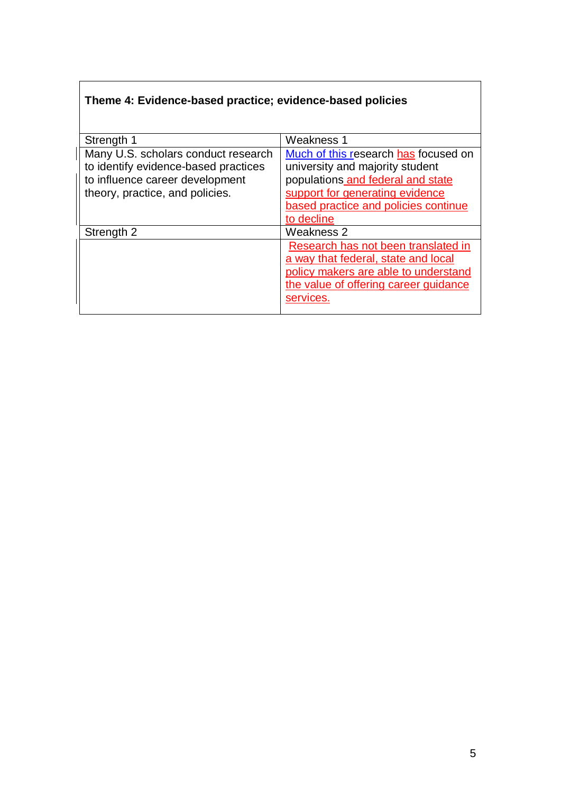# **Theme 4: Evidence-based practice; evidence-based policies**

| Strength 1                           | <b>Weakness 1</b>                     |
|--------------------------------------|---------------------------------------|
| Many U.S. scholars conduct research  | Much of this research has focused on  |
| to identify evidence-based practices | university and majority student       |
| to influence career development      | populations and federal and state     |
| theory, practice, and policies.      | support for generating evidence       |
|                                      | based practice and policies continue  |
|                                      | to decline                            |
| Strength 2                           | Weakness 2                            |
|                                      | Research has not been translated in   |
|                                      | a way that federal, state and local   |
|                                      | policy makers are able to understand  |
|                                      | the value of offering career guidance |
|                                      | services.                             |
|                                      |                                       |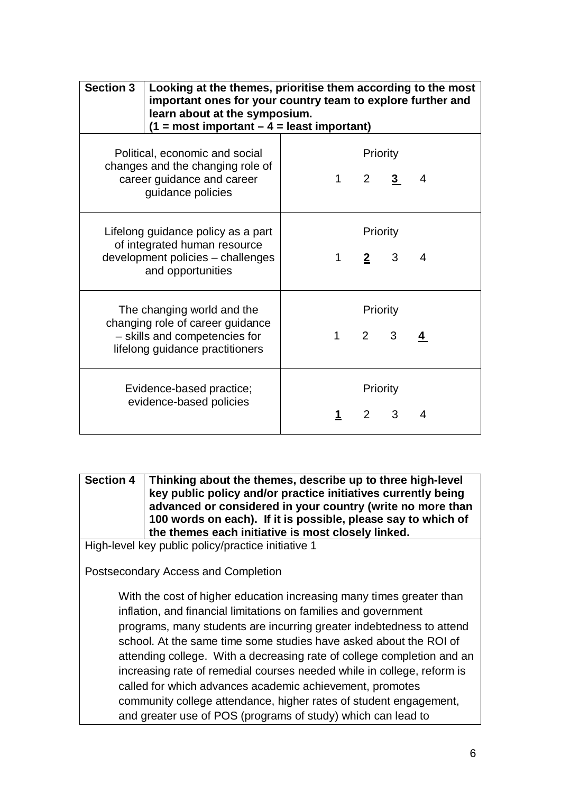| <b>Section 3</b>                                                                                                                   | Looking at the themes, prioritise them according to the most<br>important ones for your country team to explore further and<br>learn about at the symposium.<br>$(1 = most important - 4 = least important)$ |             |                           |   |   |
|------------------------------------------------------------------------------------------------------------------------------------|--------------------------------------------------------------------------------------------------------------------------------------------------------------------------------------------------------------|-------------|---------------------------|---|---|
| Political, economic and social<br>changes and the changing role of<br>career guidance and career<br>guidance policies              |                                                                                                                                                                                                              | $\mathbf 1$ | Priority<br>$2 \quad 3$   |   | 4 |
| Lifelong guidance policy as a part<br>of integrated human resource<br>development policies - challenges<br>and opportunities       |                                                                                                                                                                                                              |             | Priority<br>$2^{\circ}$   | 3 | 4 |
| The changing world and the<br>changing role of career guidance<br>- skills and competencies for<br>lifelong guidance practitioners |                                                                                                                                                                                                              | $\mathbf 1$ | Priority<br>$2^{\circ}$   | 3 |   |
| Evidence-based practice;<br>evidence-based policies                                                                                |                                                                                                                                                                                                              |             | Priority<br>$\mathcal{P}$ | 3 | 4 |

**Section 4 Thinking about the themes, describe up to three high-level key public policy and/or practice initiatives currently being advanced or considered in your country (write no more than 100 words on each). If it is possible, please say to which of the themes each initiative is most closely linked.**

High-level key public policy/practice initiative 1

Postsecondary Access and Completion

With the cost of higher education increasing many times greater than inflation, and financial limitations on families and government programs, many students are incurring greater indebtedness to attend school. At the same time some studies have asked about the ROI of attending college. With a decreasing rate of college completion and an increasing rate of remedial courses needed while in college, reform is called for which advances academic achievement, promotes community college attendance, higher rates of student engagement, and greater use of POS (programs of study) which can lead to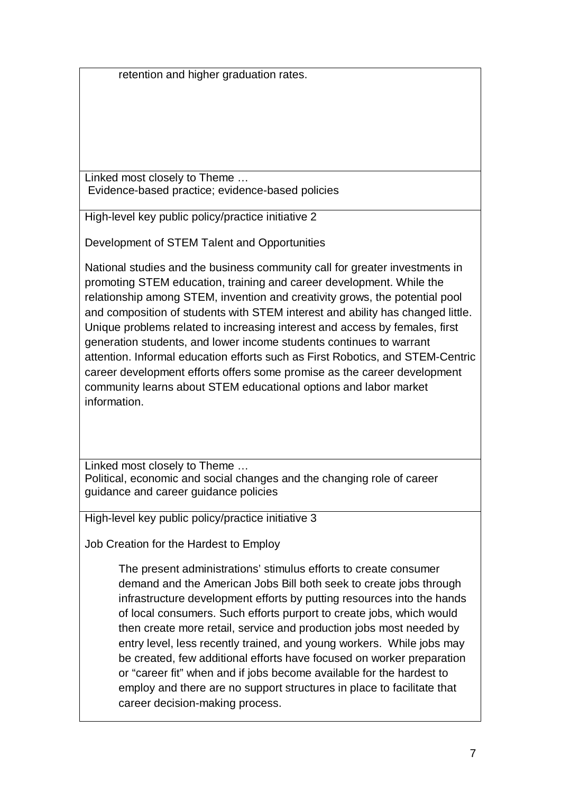retention and higher graduation rates.

Linked most closely to Theme … Evidence-based practice; evidence-based policies

High-level key public policy/practice initiative 2

Development of STEM Talent and Opportunities

National studies and the business community call for greater investments in promoting STEM education, training and career development. While the relationship among STEM, invention and creativity grows, the potential pool and composition of students with STEM interest and ability has changed little. Unique problems related to increasing interest and access by females, first generation students, and lower income students continues to warrant attention. Informal education efforts such as First Robotics, and STEM-Centric career development efforts offers some promise as the career development community learns about STEM educational options and labor market information.

Linked most closely to Theme … Political, economic and social changes and the changing role of career guidance and career guidance policies

High-level key public policy/practice initiative 3

Job Creation for the Hardest to Employ

The present administrations' stimulus efforts to create consumer demand and the American Jobs Bill both seek to create jobs through infrastructure development efforts by putting resources into the hands of local consumers. Such efforts purport to create jobs, which would then create more retail, service and production jobs most needed by entry level, less recently trained, and young workers. While jobs may be created, few additional efforts have focused on worker preparation or "career fit" when and if jobs become available for the hardest to employ and there are no support structures in place to facilitate that career decision-making process.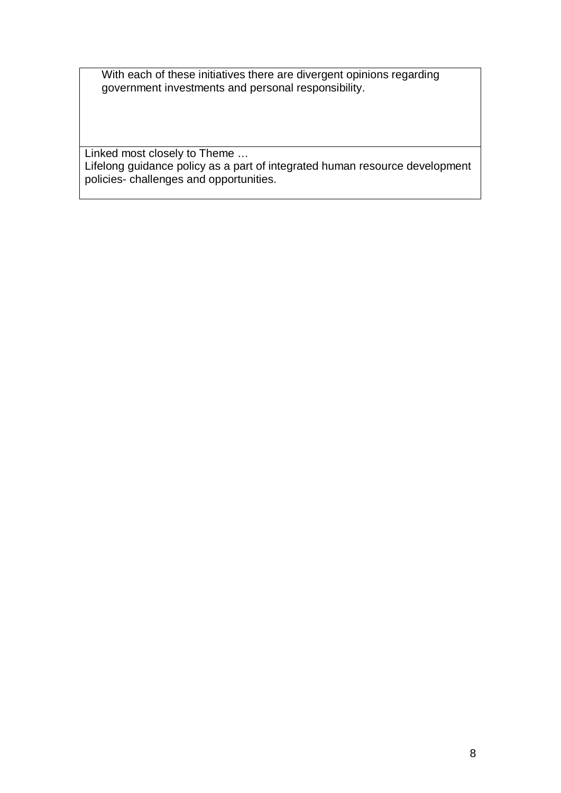With each of these initiatives there are divergent opinions regarding government investments and personal responsibility.

Linked most closely to Theme … Lifelong guidance policy as a part of integrated human resource development policies- challenges and opportunities.